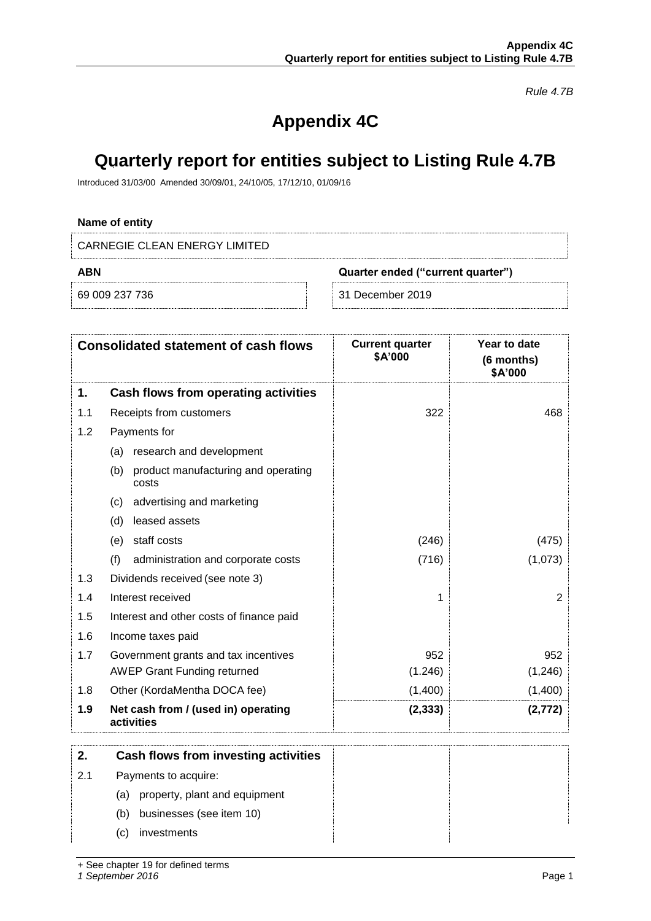*Rule 4.7B*

# **Appendix 4C**

## **Quarterly report for entities subject to Listing Rule 4.7B**

Introduced 31/03/00 Amended 30/09/01, 24/10/05, 17/12/10, 01/09/16

## **Name of entity**

CARNEGIE CLEAN ENERGY LIMITED

| ABN        | Quarter ended ("current quarter") |
|------------|-----------------------------------|
| 69 009 237 | December 2019                     |

|  | 。。。 <u>。。</u> |  |  |
|--|---------------|--|--|
|  |               |  |  |
|  |               |  |  |
|  |               |  |  |

|  | 31 December 2019 |  |  |
|--|------------------|--|--|
|  |                  |  |  |

|     | <b>Consolidated statement of cash flows</b>         | <b>Current quarter</b><br>\$A'000 | Year to date<br>(6 months)<br>\$A'000 |
|-----|-----------------------------------------------------|-----------------------------------|---------------------------------------|
| 1.  | Cash flows from operating activities                |                                   |                                       |
| 1.1 | Receipts from customers                             | 322                               | 468                                   |
| 1.2 | Payments for                                        |                                   |                                       |
|     | (a) research and development                        |                                   |                                       |
|     | product manufacturing and operating<br>(b)<br>costs |                                   |                                       |
|     | advertising and marketing<br>(c)                    |                                   |                                       |
|     | leased assets<br>(d)                                |                                   |                                       |
|     | (e) staff costs                                     | (246)                             | (475)                                 |
|     | (f)<br>administration and corporate costs           | (716)                             | (1,073)                               |
| 1.3 | Dividends received (see note 3)                     |                                   |                                       |
| 1.4 | Interest received                                   | 1                                 | $\overline{2}$                        |
| 1.5 | Interest and other costs of finance paid            |                                   |                                       |
| 1.6 | Income taxes paid                                   |                                   |                                       |
| 1.7 | Government grants and tax incentives                | 952                               | 952                                   |
|     | <b>AWEP Grant Funding returned</b>                  | (1.246)                           | (1, 246)                              |
| 1.8 | Other (KordaMentha DOCA fee)                        | (1,400)                           | (1,400)                               |
| 1.9 | Net cash from / (used in) operating<br>activities   | (2, 333)                          | (2, 772)                              |
| 2.  | Cash flows from investing activities                |                                   |                                       |
| 2.1 | Payments to acquire:                                |                                   |                                       |
|     | property, plant and equipment<br>(a)                |                                   |                                       |
|     | businesses (see item 10)<br>(b)                     |                                   |                                       |
|     | investments<br>(c)                                  |                                   |                                       |

+ See chapter 19 for defined terms

*1 September 2016* Page 1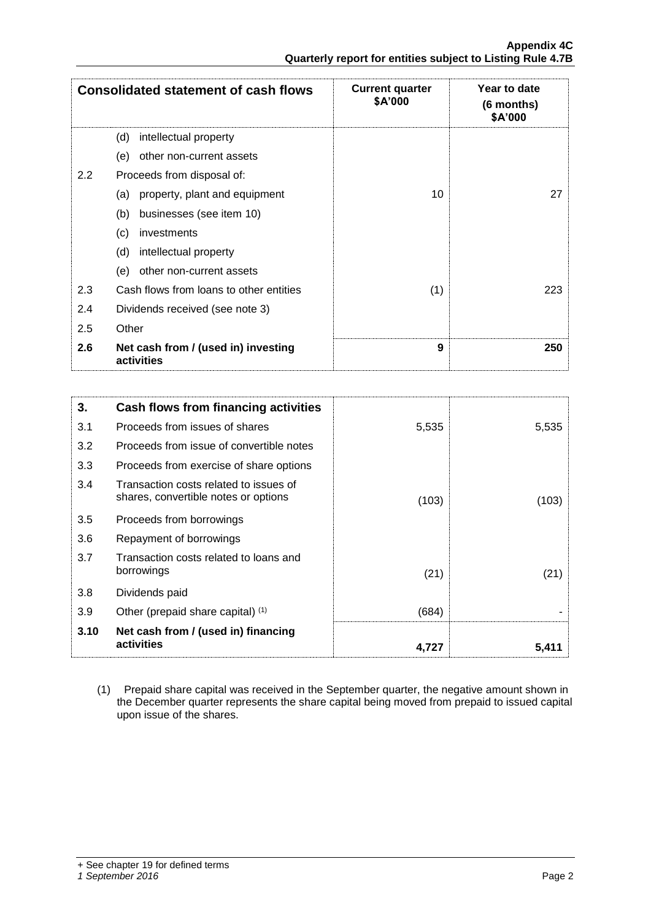|                  | <b>Consolidated statement of cash flows</b>       | <b>Current quarter</b><br>\$A'000 | Year to date<br>(6 months)<br>\$A'000 |
|------------------|---------------------------------------------------|-----------------------------------|---------------------------------------|
|                  | intellectual property<br>(d)                      |                                   |                                       |
|                  | (e)<br>other non-current assets                   |                                   |                                       |
| $2.2\phantom{0}$ | Proceeds from disposal of:                        |                                   |                                       |
|                  | property, plant and equipment<br>(a)              | 10                                | 27                                    |
|                  | businesses (see item 10)<br>(b)                   |                                   |                                       |
|                  | (c)<br>investments                                |                                   |                                       |
|                  | intellectual property<br>(d)                      |                                   |                                       |
|                  | other non-current assets<br>(e)                   |                                   |                                       |
| 2.3              | Cash flows from loans to other entities           | (1)                               | 223                                   |
| 2.4              | Dividends received (see note 3)                   |                                   |                                       |
| 2.5              | Other                                             |                                   |                                       |
| 2.6              | Net cash from / (used in) investing<br>activities | 9                                 | 250                                   |

| 3.   | Cash flows from financing activities                                           |       |       |
|------|--------------------------------------------------------------------------------|-------|-------|
| 3.1  | Proceeds from issues of shares                                                 | 5,535 | 5,535 |
| 3.2  | Proceeds from issue of convertible notes                                       |       |       |
| 3.3  | Proceeds from exercise of share options                                        |       |       |
| 3.4  | Transaction costs related to issues of<br>shares, convertible notes or options | (103) | (103) |
| 3.5  | Proceeds from borrowings                                                       |       |       |
| 3.6  | Repayment of borrowings                                                        |       |       |
| 3.7  | Transaction costs related to loans and<br>borrowings                           | (21)  | (21)  |
| 3.8  | Dividends paid                                                                 |       |       |
| 3.9  | Other (prepaid share capital) (1)                                              | (684) |       |
| 3.10 | Net cash from / (used in) financing<br>activities                              | 4,727 | 5,411 |

(1) Prepaid share capital was received in the September quarter, the negative amount shown in the December quarter represents the share capital being moved from prepaid to issued capital upon issue of the shares.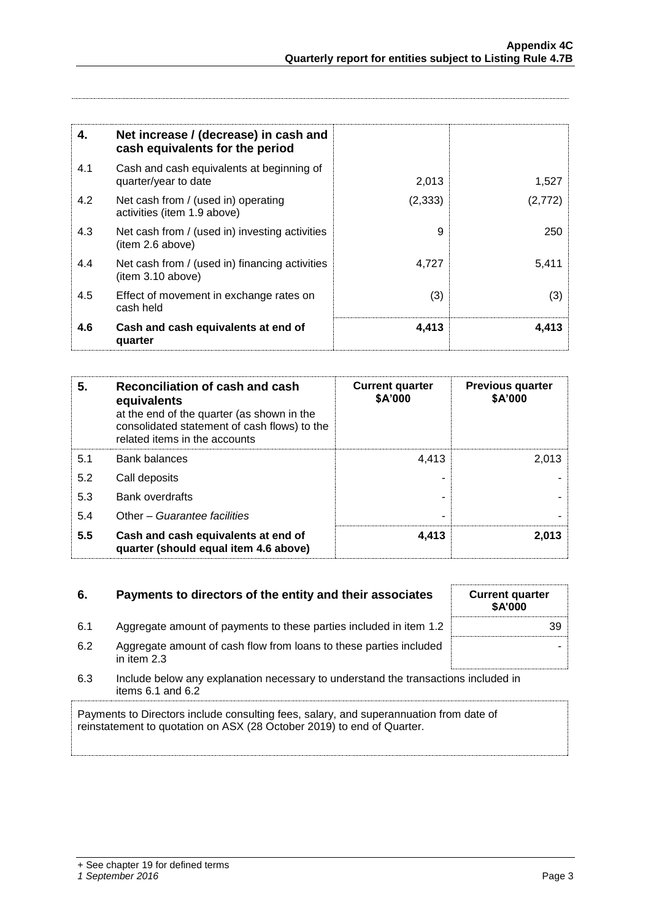| 4.  | Net increase / (decrease) in cash and<br>cash equivalents for the period |          |         |
|-----|--------------------------------------------------------------------------|----------|---------|
| 4.1 | Cash and cash equivalents at beginning of<br>quarter/year to date        | 2,013    | 1,527   |
| 4.2 | Net cash from / (used in) operating<br>activities (item 1.9 above)       | (2, 333) | (2,772) |
| 4.3 | Net cash from / (used in) investing activities<br>(item 2.6 above)       | 9        | 250     |
| 4.4 | Net cash from / (used in) financing activities<br>item 3.10 above)       | 4,727    | 5,411   |
| 4.5 | Effect of movement in exchange rates on<br>cash held                     | (3)      | (3)     |
| 4.6 | Cash and cash equivalents at end of<br>quarter                           | 4,413    | 4,413   |

| 5.  | Reconciliation of cash and cash<br>equivalents<br>at the end of the quarter (as shown in the<br>consolidated statement of cash flows) to the<br>related items in the accounts | <b>Current quarter</b><br>\$A'000 | <b>Previous quarter</b><br>\$A'000 |
|-----|-------------------------------------------------------------------------------------------------------------------------------------------------------------------------------|-----------------------------------|------------------------------------|
| 5.1 | <b>Bank balances</b>                                                                                                                                                          | 4.413                             | 2.013                              |
| 5.2 | Call deposits                                                                                                                                                                 |                                   |                                    |
| 5.3 | <b>Bank overdrafts</b>                                                                                                                                                        |                                   |                                    |
| 5.4 | Other - Guarantee facilities                                                                                                                                                  |                                   |                                    |
| 5.5 | Cash and cash equivalents at end of<br>quarter (should equal item 4.6 above)                                                                                                  | 4,413                             | 2,013                              |

## **6.** Payments to directors of the entity and their associates

- 6.1 Aggregate amount of payments to these parties included in item 1.2
- 6.2 Aggregate amount of cash flow from loans to these parties included in item 2.3
- 6.3 Include below any explanation necessary to understand the transactions included in items 6.1 and 6.2

Payments to Directors include consulting fees, salary, and superannuation from date of reinstatement to quotation on ASX (28 October 2019) to end of Quarter.

| <b>Current quarter</b><br>\$A'000 |  |
|-----------------------------------|--|
| 39                                |  |
|                                   |  |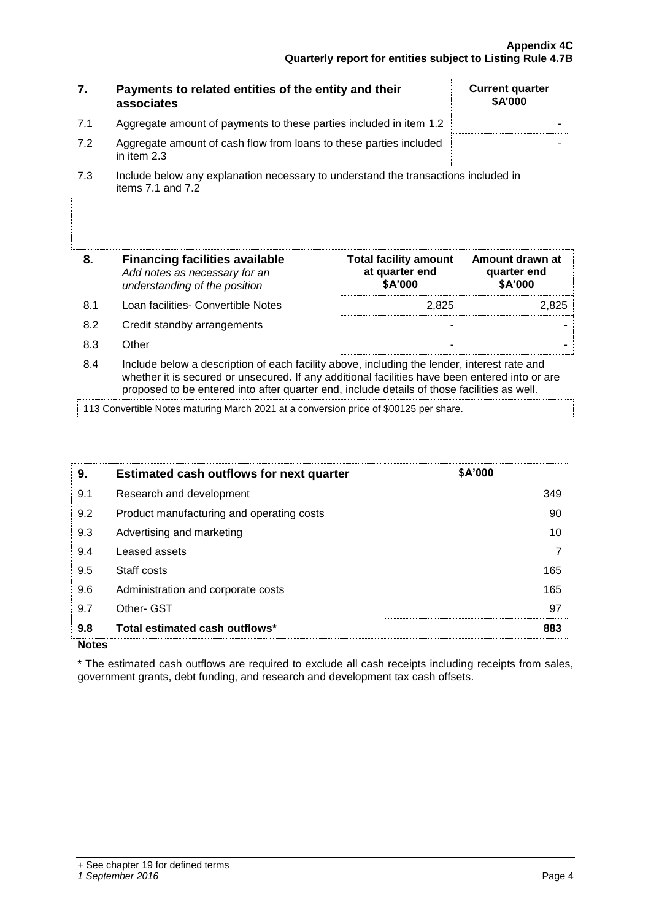| 7.  | Payments to related entities of the entity and their<br>associates                                          | <b>Current quarter</b><br>\$A'000 |
|-----|-------------------------------------------------------------------------------------------------------------|-----------------------------------|
| 7.1 | Aggregate amount of payments to these parties included in item 1.2                                          |                                   |
| 7.2 | Aggregate amount of cash flow from loans to these parties included<br>in item 2.3                           |                                   |
| 7.3 | Include below any explanation necessary to understand the transactions included in<br>items $7.1$ and $7.2$ |                                   |

|     | <b>Financing facilities available</b><br>Add notes as necessary for an<br>understanding of the position | <b>Total facility amount</b><br>at quarter end<br>\$A'000 | Amount drawn at<br>quarter end<br>\$A'000 |
|-----|---------------------------------------------------------------------------------------------------------|-----------------------------------------------------------|-------------------------------------------|
| 8.1 | Loan facilities- Convertible Notes                                                                      | 2.825                                                     |                                           |
| 8.2 | Credit standby arrangements                                                                             | -                                                         |                                           |
| 83  | Other                                                                                                   |                                                           |                                           |
|     |                                                                                                         |                                                           |                                           |

8.4 Include below a description of each facility above, including the lender, interest rate and whether it is secured or unsecured. If any additional facilities have been entered into or are proposed to be entered into after quarter end, include details of those facilities as well.

113 Convertible Notes maturing March 2021 at a conversion price of \$00125 per share.

| 9.  | <b>Estimated cash outflows for next quarter</b> | <b>\$A'000</b> |
|-----|-------------------------------------------------|----------------|
| 9.1 | Research and development                        | 349            |
| 9.2 | Product manufacturing and operating costs       | 90             |
| 9.3 | Advertising and marketing                       | 10             |
| 9.4 | Leased assets                                   |                |
| 9.5 | Staff costs                                     | 165            |
| 9.6 | Administration and corporate costs              | 165            |
| 9.7 | Other- GST                                      | 97             |
| 9.8 | Total estimated cash outflows*                  | 883            |

**Notes**

\* The estimated cash outflows are required to exclude all cash receipts including receipts from sales, government grants, debt funding, and research and development tax cash offsets.